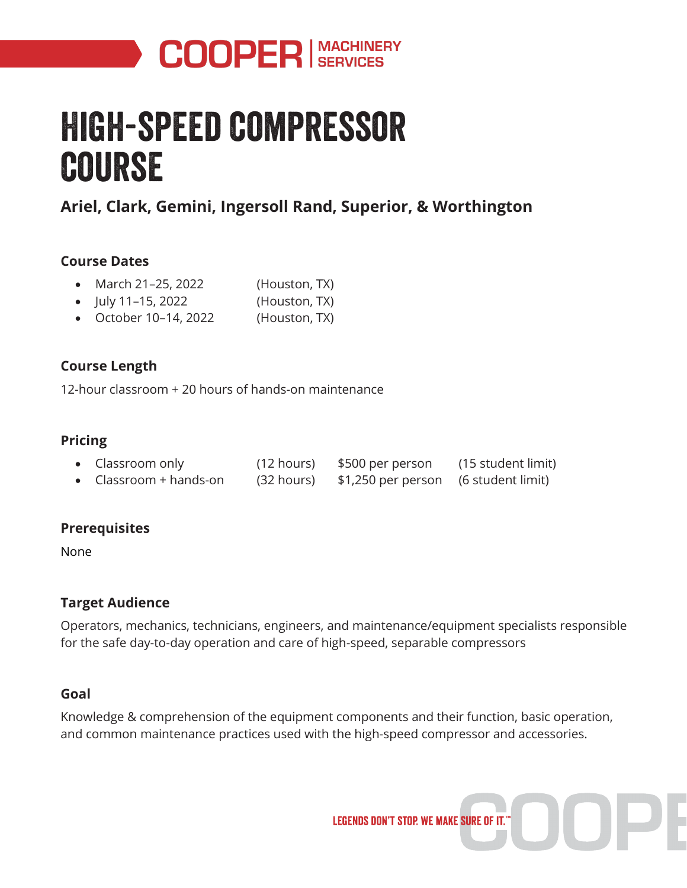

# High-speed compressor course

## **Ariel, Clark, Gemini, Ingersoll Rand, Superior, & Worthington**

#### **Course Dates**

- March 21–25, 2022 (Houston, TX)
- July 11–15, 2022 (Houston, TX)
- October 10–14, 2022 (Houston, TX)

#### **Course Length**

12-hour classroom + 20 hours of hands-on maintenance

#### **Pricing**

| • Classroom only                       |            | $(12 \text{ hours})$ \$500 per person | (15 student limit) |
|----------------------------------------|------------|---------------------------------------|--------------------|
| • $\text{Classroom} + \text{bands-on}$ | (32 hours) | \$1,250 per person (6 student limit)  |                    |

#### **Prerequisites**

None

#### **Target Audience**

Operators, mechanics, technicians, engineers, and maintenance/equipment specialists responsible for the safe day-to-day operation and care of high-speed, separable compressors

#### **Goal**

Knowledge & comprehension of the equipment components and their function, basic operation, and common maintenance practices used with the high-speed compressor and accessories.

**LEGENDS DON'T STOP. WE MAKE SURE OF IT."**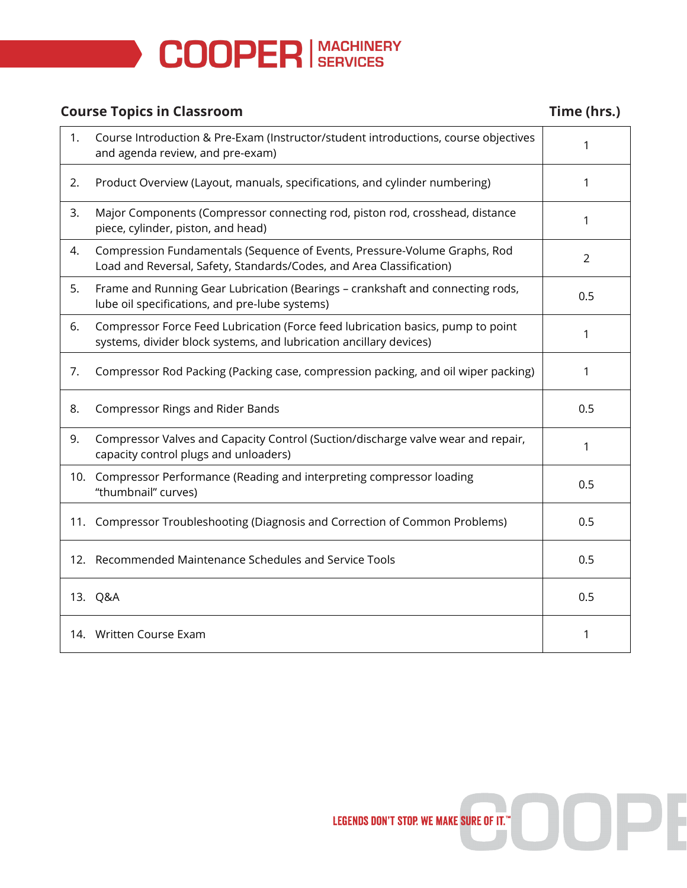

### **Course Topics in Classroom Time (hrs.)**

| 1.  | Course Introduction & Pre-Exam (Instructor/student introductions, course objectives<br>and agenda review, and pre-exam)                               | 1              |
|-----|-------------------------------------------------------------------------------------------------------------------------------------------------------|----------------|
| 2.  | Product Overview (Layout, manuals, specifications, and cylinder numbering)                                                                            | 1              |
| 3.  | Major Components (Compressor connecting rod, piston rod, crosshead, distance<br>piece, cylinder, piston, and head)                                    | 1              |
| 4.  | Compression Fundamentals (Sequence of Events, Pressure-Volume Graphs, Rod<br>Load and Reversal, Safety, Standards/Codes, and Area Classification)     | $\overline{2}$ |
| 5.  | Frame and Running Gear Lubrication (Bearings - crankshaft and connecting rods,<br>lube oil specifications, and pre-lube systems)                      | 0.5            |
| 6.  | Compressor Force Feed Lubrication (Force feed lubrication basics, pump to point<br>systems, divider block systems, and lubrication ancillary devices) | 1              |
| 7.  | Compressor Rod Packing (Packing case, compression packing, and oil wiper packing)                                                                     | 1              |
| 8.  | <b>Compressor Rings and Rider Bands</b>                                                                                                               | 0.5            |
| 9.  | Compressor Valves and Capacity Control (Suction/discharge valve wear and repair,<br>capacity control plugs and unloaders)                             | 1              |
| 10. | Compressor Performance (Reading and interpreting compressor loading<br>"thumbnail" curves)                                                            | 0.5            |
| 11. | Compressor Troubleshooting (Diagnosis and Correction of Common Problems)                                                                              | 0.5            |
|     | 12. Recommended Maintenance Schedules and Service Tools                                                                                               | 0.5            |
|     | 13. Q&A                                                                                                                                               | 0.5            |
|     | 14. Written Course Exam                                                                                                                               | 1              |